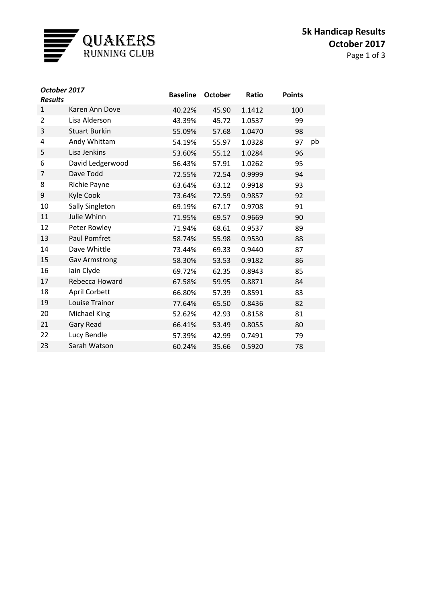

| October 2017<br><b>Results</b> |                      | <b>Baseline</b> | <b>October</b> | Ratio  | <b>Points</b> |    |
|--------------------------------|----------------------|-----------------|----------------|--------|---------------|----|
| 1                              | Karen Ann Dove       | 40.22%          | 45.90          | 1.1412 | 100           |    |
| 2                              | Lisa Alderson        | 43.39%          | 45.72          | 1.0537 | 99            |    |
| 3                              | <b>Stuart Burkin</b> | 55.09%          | 57.68          | 1.0470 | 98            |    |
| 4                              | Andy Whittam         | 54.19%          | 55.97          | 1.0328 | 97            | pb |
| 5                              | Lisa Jenkins         | 53.60%          | 55.12          | 1.0284 | 96            |    |
| 6                              | David Ledgerwood     | 56.43%          | 57.91          | 1.0262 | 95            |    |
| $\overline{7}$                 | Dave Todd            | 72.55%          | 72.54          | 0.9999 | 94            |    |
| 8                              | Richie Payne         | 63.64%          | 63.12          | 0.9918 | 93            |    |
| 9                              | Kyle Cook            | 73.64%          | 72.59          | 0.9857 | 92            |    |
| 10                             | Sally Singleton      | 69.19%          | 67.17          | 0.9708 | 91            |    |
| 11                             | Julie Whinn          | 71.95%          | 69.57          | 0.9669 | 90            |    |
| 12                             | Peter Rowley         | 71.94%          | 68.61          | 0.9537 | 89            |    |
| 13                             | <b>Paul Pomfret</b>  | 58.74%          | 55.98          | 0.9530 | 88            |    |
| 14                             | Dave Whittle         | 73.44%          | 69.33          | 0.9440 | 87            |    |
| 15                             | <b>Gav Armstrong</b> | 58.30%          | 53.53          | 0.9182 | 86            |    |
| 16                             | lain Clyde           | 69.72%          | 62.35          | 0.8943 | 85            |    |
| 17                             | Rebecca Howard       | 67.58%          | 59.95          | 0.8871 | 84            |    |
| 18                             | April Corbett        | 66.80%          | 57.39          | 0.8591 | 83            |    |
| 19                             | Louise Trainor       | 77.64%          | 65.50          | 0.8436 | 82            |    |
| 20                             | Michael King         | 52.62%          | 42.93          | 0.8158 | 81            |    |
| 21                             | Gary Read            | 66.41%          | 53.49          | 0.8055 | 80            |    |
| 22                             | Lucy Bendle          | 57.39%          | 42.99          | 0.7491 | 79            |    |
| 23                             | Sarah Watson         | 60.24%          | 35.66          | 0.5920 | 78            |    |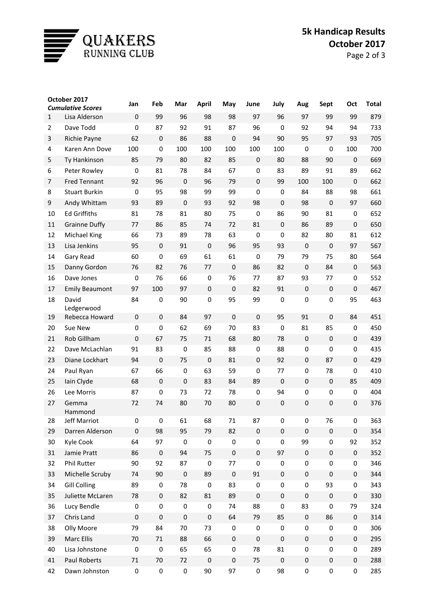

## **5k Handicap Results October 2017**

| October 2017        |                                     | Jan                    | Feb                        | Mar             | April            | May                     | June             | July             | Aug               | Sept              | Oct               | <b>Total</b> |
|---------------------|-------------------------------------|------------------------|----------------------------|-----------------|------------------|-------------------------|------------------|------------------|-------------------|-------------------|-------------------|--------------|
|                     | <b>Cumulative Scores</b>            |                        |                            |                 |                  |                         |                  |                  |                   |                   |                   |              |
| $\mathbf{1}$        | Lisa Alderson                       | $\boldsymbol{0}$       | 99                         | 96              | 98               | 98                      | 97               | 96               | 97                | 99                | 99                | 879          |
| $\overline{2}$      | Dave Todd                           | $\pmb{0}$              | 87                         | 92              | 91               | 87                      | 96               | $\pmb{0}$        | 92                | 94                | 94                | 733          |
| 3<br>4              | Richie Payne                        | 62<br>100              | $\mathbf 0$<br>$\mathbf 0$ | 86<br>100       | 88<br>100        | $\boldsymbol{0}$<br>100 | 94<br>100        | 90<br>100        | 95<br>$\mathbf 0$ | 97<br>$\mathbf 0$ | 93<br>100         | 705<br>700   |
|                     | Karen Ann Dove                      |                        |                            |                 |                  |                         |                  |                  |                   |                   |                   |              |
| 5                   | Ty Hankinson                        | 85                     | 79                         | 80              | 82               | 85                      | $\pmb{0}$        | 80               | 88                | 90                | $\mathbf 0$       | 669          |
| 6<br>$\overline{7}$ | Peter Rowley<br><b>Fred Tennant</b> | $\boldsymbol{0}$<br>92 | 81                         | 78<br>$\pmb{0}$ | 84               | 67                      | 0<br>$\pmb{0}$   | 83<br>99         | 89                | 91                | 89                | 662<br>662   |
|                     | <b>Stuart Burkin</b>                |                        | 96<br>95                   | 98              | 96<br>99         | 79<br>99                | 0                |                  | 100               | 100               | $\mathbf 0$<br>98 | 661          |
| 8                   |                                     | 0                      |                            |                 |                  |                         |                  | 0                | 84                | 88                |                   |              |
| 9                   | Andy Whittam<br><b>Ed Griffiths</b> | 93                     | 89                         | $\pmb{0}$       | 93               | 92                      | 98               | $\pmb{0}$        | 98                | $\boldsymbol{0}$  | 97                | 660          |
| 10                  |                                     | 81                     | 78                         | 81              | 80               | 75                      | 0                | 86               | 90                | 81                | $\bf{0}$          | 652          |
| 11                  | <b>Grainne Duffy</b>                | 77                     | 86                         | 85              | 74               | 72                      | 81               | $\pmb{0}$        | 86                | 89                | $\pmb{0}$         | 650          |
| 12                  | Michael King                        | 66                     | 73                         | 89              | 78               | 63                      | $\mathbf 0$      | $\boldsymbol{0}$ | 82                | 80                | 81                | 612          |
| 13                  | Lisa Jenkins                        | 95                     | $\mathbf 0$                | 91              | $\boldsymbol{0}$ | 96                      | 95               | 93               | $\pmb{0}$         | $\boldsymbol{0}$  | 97                | 567          |
| 14                  | Gary Read                           | 60                     | $\mathbf 0$                | 69              | 61               | 61                      | 0                | 79               | 79                | 75                | 80                | 564          |
| 15                  | Danny Gordon                        | 76                     | 82                         | 76              | 77               | $\boldsymbol{0}$        | 86               | 82               | $\mathbf 0$       | 84                | $\mathbf 0$       | 563          |
| 16                  | Dave Jones                          | $\boldsymbol{0}$       | 76                         | 66              | $\boldsymbol{0}$ | 76                      | 77               | 87               | 93                | 77                | 0                 | 552          |
| 17                  | <b>Emily Beaumont</b>               | 97                     | 100                        | 97              | $\pmb{0}$        | $\mathbf 0$             | 82               | 91               | $\pmb{0}$         | $\boldsymbol{0}$  | $\pmb{0}$         | 467          |
| 18                  | David<br>Ledgerwood                 | 84                     | 0                          | 90              | $\pmb{0}$        | 95                      | 99               | $\pmb{0}$        | $\pmb{0}$         | $\mathbf 0$       | 95                | 463          |
| 19                  | Rebecca Howard                      | $\boldsymbol{0}$       | $\mathbf 0$                | 84              | 97               | $\mathbf{0}$            | $\boldsymbol{0}$ | 95               | 91                | $\mathbf 0$       | 84                | 451          |
| 20                  | Sue New                             | $\pmb{0}$              | $\mathbf 0$                | 62              | 69               | 70                      | 83               | $\mathbf 0$      | 81                | 85                | $\pmb{0}$         | 450          |
| 21                  | Rob Gillham                         | $\boldsymbol{0}$       | 67                         | 75              | 71               | 68                      | 80               | 78               | $\mathbf 0$       | $\pmb{0}$         | $\boldsymbol{0}$  | 439          |
| 22                  | Dave McLachlan                      | 91                     | 83                         | $\pmb{0}$       | 85               | 88                      | $\pmb{0}$        | 88               | $\pmb{0}$         | $\mathbf 0$       | $\pmb{0}$         | 435          |
| 23                  | Diane Lockhart                      | 94                     | $\mathbf 0$                | 75              | $\boldsymbol{0}$ | 81                      | $\pmb{0}$        | 92               | 0                 | 87                | $\mathbf 0$       | 429          |
| 24                  | Paul Ryan                           | 67                     | 66                         | $\pmb{0}$       | 63               | 59                      | 0                | 77               | $\pmb{0}$         | 78                | $\boldsymbol{0}$  | 410          |
| 25                  | Iain Clyde                          | 68                     | $\boldsymbol{0}$           | $\mathbf 0$     | 83               | 84                      | 89               | $\boldsymbol{0}$ | $\boldsymbol{0}$  | $\pmb{0}$         | 85                | 409          |
| 26                  | Lee Morris                          | 87                     | $\mathbf 0$                | 73              | 72               | 78                      | $\pmb{0}$        | 94               | $\pmb{0}$         | $\pmb{0}$         | $\pmb{0}$         | 404          |
| 27                  | Gemma<br>Hammond                    | 72                     | 74                         | 80              | 70               | 80                      | 0                | $\boldsymbol{0}$ | 0                 | $\pmb{0}$         | $\mathbf 0$       | 376          |
| 28                  | Jeff Marriot                        | 0                      | 0                          | 61              | 68               | 71                      | 87               | 0                | 0                 | 76                | 0                 | 363          |
| 29                  | Darren Alderson                     | $\boldsymbol{0}$       | 98                         | 95              | 79               | 82                      | $\pmb{0}$        | $\pmb{0}$        | $\pmb{0}$         | $\pmb{0}$         | $\pmb{0}$         | 354          |
| 30                  | Kyle Cook                           | 64                     | 97                         | $\pmb{0}$       | $\pmb{0}$        | $\pmb{0}$               | 0                | $\pmb{0}$        | 99                | 0                 | 92                | 352          |
| 31                  | Jamie Pratt                         | 86                     | $\boldsymbol{0}$           | 94              | 75               | $\pmb{0}$               | $\pmb{0}$        | 97               | $\pmb{0}$         | $\pmb{0}$         | $\boldsymbol{0}$  | 352          |
| 32                  | Phil Rutter                         | 90                     | 92                         | 87              | $\boldsymbol{0}$ | 77                      | 0                | $\boldsymbol{0}$ | 0                 | 0                 | 0                 | 346          |
| 33                  | Michelle Scruby                     | 74                     | 90                         | $\pmb{0}$       | 89               | $\pmb{0}$               | 91               | $\pmb{0}$        | $\pmb{0}$         | $\pmb{0}$         | $\boldsymbol{0}$  | 344          |
| 34                  | <b>Gill Colling</b>                 | 89                     | $\pmb{0}$                  | 78              | $\boldsymbol{0}$ | 83                      | $\pmb{0}$        | $\pmb{0}$        | $\pmb{0}$         | 93                | 0                 | 343          |
| 35                  | Juliette McLaren                    | 78                     | $\pmb{0}$                  | 82              | 81               | 89                      | $\pmb{0}$        | $\pmb{0}$        | $\pmb{0}$         | $\pmb{0}$         | $\pmb{0}$         | 330          |
| 36                  | Lucy Bendle                         | $\boldsymbol{0}$       | $\pmb{0}$                  | $\pmb{0}$       | $\pmb{0}$        | 74                      | 88               | 0                | 83                | 0                 | 79                | 324          |
| 37                  | Chris Land                          | $\pmb{0}$              | $\pmb{0}$                  | $\pmb{0}$       | $\pmb{0}$        | 64                      | 79               | 85               | $\pmb{0}$         | 86                | $\pmb{0}$         | 314          |
| 38                  | Olly Moore                          | 79                     | 84                         | 70              | 73               | $\pmb{0}$               | 0                | $\pmb{0}$        | $\pmb{0}$         | 0                 | 0                 | 306          |
| 39                  | Marc Ellis                          | 70                     | 71                         | 88              | 66               | $\pmb{0}$               | $\pmb{0}$        | $\mathbf 0$      | $\pmb{0}$         | $\boldsymbol{0}$  | $\pmb{0}$         | 295          |
| 40                  | Lisa Johnstone                      | $\boldsymbol{0}$       | $\pmb{0}$                  | 65              | 65               | 0                       | 78               | 81               | 0                 | 0                 | 0                 | 289          |
| 41                  | Paul Roberts                        | 71                     | 70                         | 72              | $\pmb{0}$        | $\pmb{0}$               | 75               | $\pmb{0}$        | $\pmb{0}$         | $\boldsymbol{0}$  | $\pmb{0}$         | 288          |
| 42                  | Dawn Johnston                       | $\pmb{0}$              | $\pmb{0}$                  | $\pmb{0}$       | 90               | 97                      | $\pmb{0}$        | 98               | $\pmb{0}$         | 0                 | 0                 | 285          |